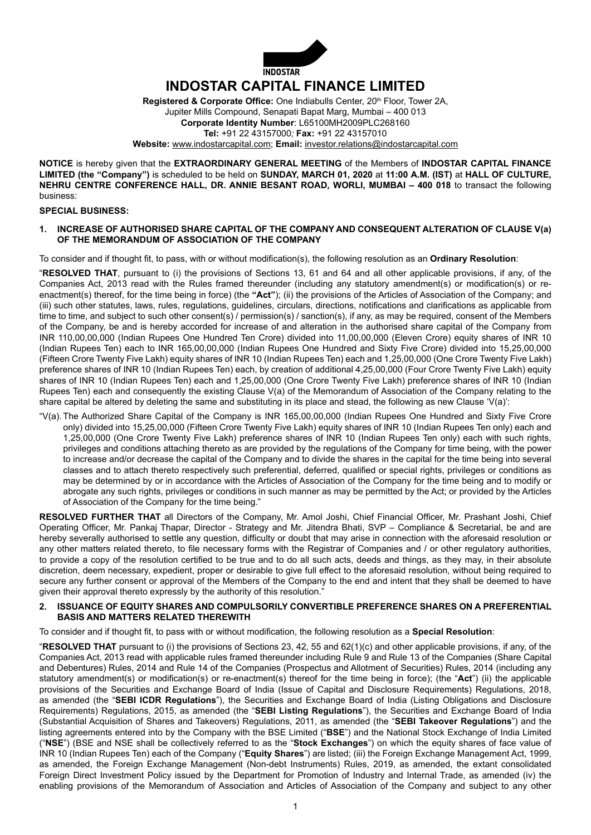

Registered & Corporate Office: One Indiabulls Center, 20<sup>th</sup> Floor, Tower 2A, Jupiter Mills Compound, Senapati Bapat Marg, Mumbai – 400 013 **Corporate Identity Number**: L65100MH2009PLC268160 **Tel:** +91 22 43157000*;* **Fax:** +91 22 43157010 **Website:** www.indostarcapital.com; **Email:** investor.relations@indostarcapital.com

**NOTICE** is hereby given that the **EXTRAORDINARY GENERAL MEETING** of the Members of **INDOSTAR CAPITAL FINANCE LIMITED (the "Company")** is scheduled to be held on **SUNDAY, MARCH 01, 2020** at **11:00 A.M. (IST)** at **HALL OF CULTURE, NEHRU CENTRE CONFERENCE HALL, DR. ANNIE BESANT ROAD, WORLI, MUMBAI – 400 018** to transact the following business:

#### **SPECIAL BUSINESS:**

#### **1. INCREASE OF AUTHORISED SHARE CAPITAL OF THE COMPANY AND CONSEQUENT ALTERATION OF CLAUSE V(a) OF THE MEMORANDUM OF ASSOCIATION OF THE COMPANY**

To consider and if thought fit, to pass, with or without modification(s), the following resolution as an **Ordinary Resolution**:

"**RESOLVED THAT**, pursuant to (i) the provisions of Sections 13, 61 and 64 and all other applicable provisions, if any, of the Companies Act, 2013 read with the Rules framed thereunder (including any statutory amendment(s) or modification(s) or reenactment(s) thereof, for the time being in force) (the **"Act"**); (ii) the provisions of the Articles of Association of the Company; and (iii) such other statutes, laws, rules, regulations, guidelines, circulars, directions, notifications and clarifications as applicable from time to time, and subject to such other consent(s) / permission(s) / sanction(s), if any, as may be required, consent of the Members of the Company, be and is hereby accorded for increase of and alteration in the authorised share capital of the Company from INR 110,00,00,000 (Indian Rupees One Hundred Ten Crore) divided into 11,00,00,000 (Eleven Crore) equity shares of INR 10 (Indian Rupees Ten) each to INR 165,00,00,000 (Indian Rupees One Hundred and Sixty Five Crore) divided into 15,25,00,000 (Fifteen Crore Twenty Five Lakh) equity shares of INR 10 (Indian Rupees Ten) each and 1,25,00,000 (One Crore Twenty Five Lakh) preference shares of INR 10 (Indian Rupees Ten) each, by creation of additional 4,25,00,000 (Four Crore Twenty Five Lakh) equity shares of INR 10 (Indian Rupees Ten) each and 1,25,00,000 (One Crore Twenty Five Lakh) preference shares of INR 10 (Indian Rupees Ten) each and consequently the existing Clause V(a) of the Memorandum of Association of the Company relating to the share capital be altered by deleting the same and substituting in its place and stead, the following as new Clause 'V(a)':

"V(a). The Authorized Share Capital of the Company is INR 165,00,00,000 (Indian Rupees One Hundred and Sixty Five Crore only) divided into 15,25,00,000 (Fifteen Crore Twenty Five Lakh) equity shares of INR 10 (Indian Rupees Ten only) each and 1,25,00,000 (One Crore Twenty Five Lakh) preference shares of INR 10 (Indian Rupees Ten only) each with such rights, privileges and conditions attaching thereto as are provided by the regulations of the Company for time being, with the power to increase and/or decrease the capital of the Company and to divide the shares in the capital for the time being into several classes and to attach thereto respectively such preferential, deferred, qualified or special rights, privileges or conditions as may be determined by or in accordance with the Articles of Association of the Company for the time being and to modify or abrogate any such rights, privileges or conditions in such manner as may be permitted by the Act; or provided by the Articles of Association of the Company for the time being."

**RESOLVED FURTHER THAT** all Directors of the Company, Mr. Amol Joshi, Chief Financial Officer, Mr. Prashant Joshi, Chief Operating Officer, Mr. Pankaj Thapar, Director - Strategy and Mr. Jitendra Bhati, SVP – Compliance & Secretarial, be and are hereby severally authorised to settle any question, difficulty or doubt that may arise in connection with the aforesaid resolution or any other matters related thereto, to file necessary forms with the Registrar of Companies and / or other regulatory authorities, to provide a copy of the resolution certified to be true and to do all such acts, deeds and things, as they may, in their absolute discretion, deem necessary, expedient, proper or desirable to give full effect to the aforesaid resolution, without being required to secure any further consent or approval of the Members of the Company to the end and intent that they shall be deemed to have given their approval thereto expressly by the authority of this resolution."

## **2. ISSUANCE OF EQUITY SHARES AND compulsorily CONVERTIBLE PREFERENCE SHARES ON A PREFERENTIAL BASIS AND MATTERS RELATED THEREWITH**

To consider and if thought fit, to pass with or without modification, the following resolution as a **Special Resolution**:

"**RESOLVED THAT** pursuant to (i) the provisions of Sections 23, 42, 55 and 62(1)(c) and other applicable provisions, if any, of the Companies Act, 2013 read with applicable rules framed thereunder including Rule 9 and Rule 13 of the Companies (Share Capital and Debentures) Rules, 2014 and Rule 14 of the Companies (Prospectus and Allotment of Securities) Rules, 2014 (including any statutory amendment(s) or modification(s) or re-enactment(s) thereof for the time being in force); (the "**Act**") (ii) the applicable provisions of the Securities and Exchange Board of India (Issue of Capital and Disclosure Requirements) Regulations, 2018, as amended (the "**SEBI ICDR Regulations**"), the Securities and Exchange Board of India (Listing Obligations and Disclosure Requirements) Regulations, 2015, as amended (the "**SEBI Listing Regulations**"), the Securities and Exchange Board of India (Substantial Acquisition of Shares and Takeovers) Regulations, 2011, as amended (the "**SEBI Takeover Regulations**") and the listing agreements entered into by the Company with the BSE Limited ("**BSE**") and the National Stock Exchange of India Limited ("**NSE**") (BSE and NSE shall be collectively referred to as the "**Stock Exchanges**") on which the equity shares of face value of INR 10 (Indian Rupees Ten) each of the Company ("**Equity Shares**") are listed; (iii) the Foreign Exchange Management Act, 1999, as amended, the Foreign Exchange Management (Non-debt Instruments) Rules, 2019, as amended, the extant consolidated Foreign Direct Investment Policy issued by the Department for Promotion of Industry and Internal Trade, as amended (iv) the enabling provisions of the Memorandum of Association and Articles of Association of the Company and subject to any other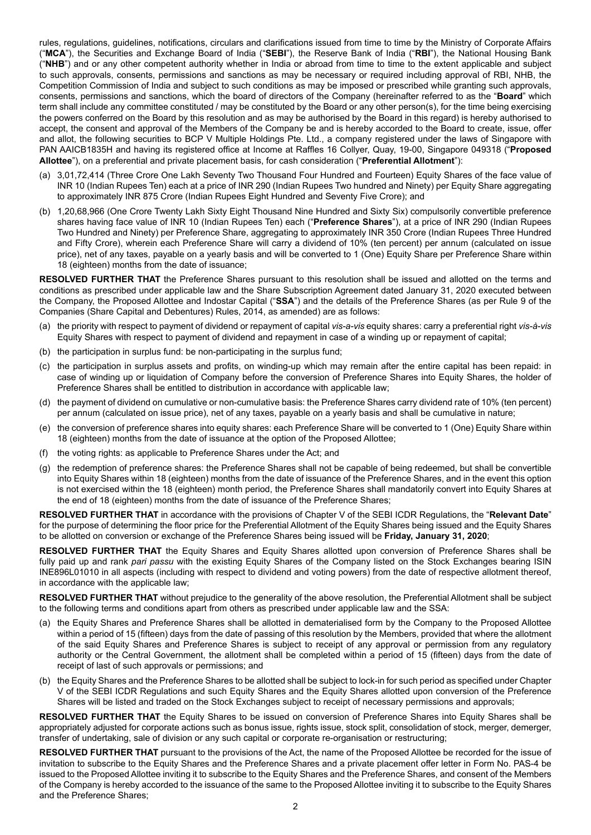rules, regulations, guidelines, notifications, circulars and clarifications issued from time to time by the Ministry of Corporate Affairs ("**MCA**"), the Securities and Exchange Board of India ("**SEBI**"), the Reserve Bank of India ("**RBI**"), the National Housing Bank ("**NHB**") and or any other competent authority whether in India or abroad from time to time to the extent applicable and subject to such approvals, consents, permissions and sanctions as may be necessary or required including approval of RBI, NHB, the Competition Commission of India and subject to such conditions as may be imposed or prescribed while granting such approvals, consents, permissions and sanctions, which the board of directors of the Company (hereinafter referred to as the "**Board**" which term shall include any committee constituted / may be constituted by the Board or any other person(s), for the time being exercising the powers conferred on the Board by this resolution and as may be authorised by the Board in this regard) is hereby authorised to accept, the consent and approval of the Members of the Company be and is hereby accorded to the Board to create, issue, offer and allot, the following securities to BCP V Multiple Holdings Pte. Ltd., a company registered under the laws of Singapore with PAN AAICB1835H and having its registered office at Income at Raffles 16 Collyer, Quay, 19-00, Singapore 049318 ("**Proposed Allottee**"), on a preferential and private placement basis, for cash consideration ("**Preferential Allotment**"):

- (a) 3,01,72,414 (Three Crore One Lakh Seventy Two Thousand Four Hundred and Fourteen) Equity Shares of the face value of INR 10 (Indian Rupees Ten) each at a price of INR 290 (Indian Rupees Two hundred and Ninety) per Equity Share aggregating to approximately INR 875 Crore (Indian Rupees Eight Hundred and Seventy Five Crore); and
- (b) 1,20,68,966 (One Crore Twenty Lakh Sixty Eight Thousand Nine Hundred and Sixty Six) compulsorily convertible preference shares having face value of INR 10 (Indian Rupees Ten) each ("**Preference Shares**"), at a price of INR 290 (Indian Rupees Two Hundred and Ninety) per Preference Share, aggregating to approximately INR 350 Crore (Indian Rupees Three Hundred and Fifty Crore), wherein each Preference Share will carry a dividend of 10% (ten percent) per annum (calculated on issue price), net of any taxes, payable on a yearly basis and will be converted to 1 (One) Equity Share per Preference Share within 18 (eighteen) months from the date of issuance;

**RESOLVED FURTHER THAT** the Preference Shares pursuant to this resolution shall be issued and allotted on the terms and conditions as prescribed under applicable law and the Share Subscription Agreement dated January 31, 2020 executed between the Company, the Proposed Allottee and Indostar Capital ("**SSA**") and the details of the Preference Shares (as per Rule 9 of the Companies (Share Capital and Debentures) Rules, 2014, as amended) are as follows:

- (a) the priority with respect to payment of dividend or repayment of capital *vis-a-vis* equity shares: carry a preferential right *vis-à-vis* Equity Shares with respect to payment of dividend and repayment in case of a winding up or repayment of capital;
- (b) the participation in surplus fund: be non-participating in the surplus fund;
- (c) the participation in surplus assets and profits, on winding-up which may remain after the entire capital has been repaid: in case of winding up or liquidation of Company before the conversion of Preference Shares into Equity Shares, the holder of Preference Shares shall be entitled to distribution in accordance with applicable law;
- (d) the payment of dividend on cumulative or non-cumulative basis: the Preference Shares carry dividend rate of 10% (ten percent) per annum (calculated on issue price), net of any taxes, payable on a yearly basis and shall be cumulative in nature;
- (e) the conversion of preference shares into equity shares: each Preference Share will be converted to 1 (One) Equity Share within 18 (eighteen) months from the date of issuance at the option of the Proposed Allottee;
- (f) the voting rights: as applicable to Preference Shares under the Act; and
- (g) the redemption of preference shares: the Preference Shares shall not be capable of being redeemed, but shall be convertible into Equity Shares within 18 (eighteen) months from the date of issuance of the Preference Shares, and in the event this option is not exercised within the 18 (eighteen) month period, the Preference Shares shall mandatorily convert into Equity Shares at the end of 18 (eighteen) months from the date of issuance of the Preference Shares;

**RESOLVED FURTHER THAT** in accordance with the provisions of Chapter V of the SEBI ICDR Regulations, the "**Relevant Date**" for the purpose of determining the floor price for the Preferential Allotment of the Equity Shares being issued and the Equity Shares to be allotted on conversion or exchange of the Preference Shares being issued will be **Friday, January 31, 2020**;

**RESOLVED FURTHER THAT** the Equity Shares and Equity Shares allotted upon conversion of Preference Shares shall be fully paid up and rank *pari passu* with the existing Equity Shares of the Company listed on the Stock Exchanges bearing ISIN INE896L01010 in all aspects (including with respect to dividend and voting powers) from the date of respective allotment thereof, in accordance with the applicable law;

**RESOLVED FURTHER THAT** without prejudice to the generality of the above resolution, the Preferential Allotment shall be subject to the following terms and conditions apart from others as prescribed under applicable law and the SSA:

- (a) the Equity Shares and Preference Shares shall be allotted in dematerialised form by the Company to the Proposed Allottee within a period of 15 (fifteen) days from the date of passing of this resolution by the Members, provided that where the allotment of the said Equity Shares and Preference Shares is subject to receipt of any approval or permission from any regulatory authority or the Central Government, the allotment shall be completed within a period of 15 (fifteen) days from the date of receipt of last of such approvals or permissions; and
- (b) the Equity Shares and the Preference Shares to be allotted shall be subject to lock-in for such period as specified under Chapter V of the SEBI ICDR Regulations and such Equity Shares and the Equity Shares allotted upon conversion of the Preference Shares will be listed and traded on the Stock Exchanges subject to receipt of necessary permissions and approvals;

**RESOLVED FURTHER THAT** the Equity Shares to be issued on conversion of Preference Shares into Equity Shares shall be appropriately adjusted for corporate actions such as bonus issue, rights issue, stock split, consolidation of stock, merger, demerger, transfer of undertaking, sale of division or any such capital or corporate re-organisation or restructuring;

**RESOLVED FURTHER THAT** pursuant to the provisions of the Act, the name of the Proposed Allottee be recorded for the issue of invitation to subscribe to the Equity Shares and the Preference Shares and a private placement offer letter in Form No. PAS-4 be issued to the Proposed Allottee inviting it to subscribe to the Equity Shares and the Preference Shares, and consent of the Members of the Company is hereby accorded to the issuance of the same to the Proposed Allottee inviting it to subscribe to the Equity Shares and the Preference Shares;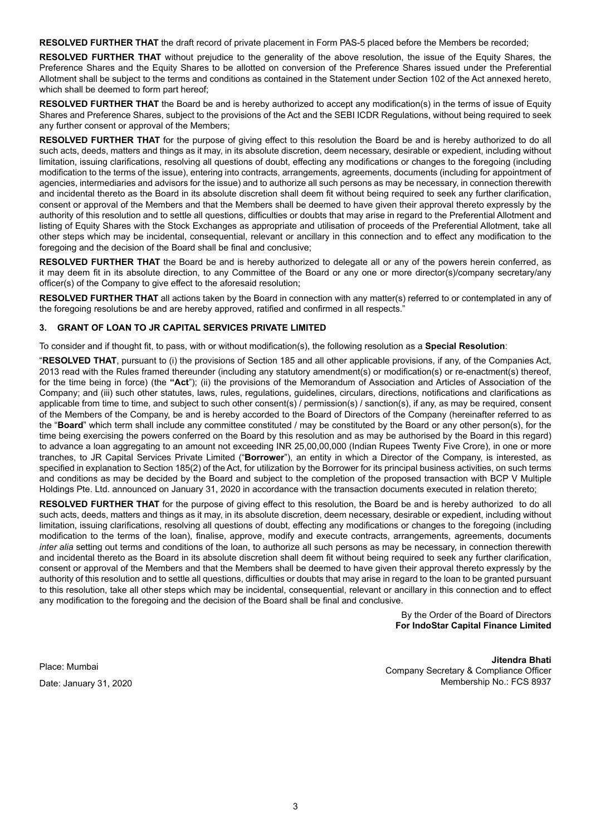**RESOLVED FURTHER THAT** the draft record of private placement in Form PAS-5 placed before the Members be recorded;

**RESOLVED FURTHER THAT** without prejudice to the generality of the above resolution, the issue of the Equity Shares, the Preference Shares and the Equity Shares to be allotted on conversion of the Preference Shares issued under the Preferential Allotment shall be subject to the terms and conditions as contained in the Statement under Section 102 of the Act annexed hereto, which shall be deemed to form part hereof;

**RESOLVED FURTHER THAT** the Board be and is hereby authorized to accept any modification(s) in the terms of issue of Equity Shares and Preference Shares, subject to the provisions of the Act and the SEBI ICDR Regulations, without being required to seek any further consent or approval of the Members;

**RESOLVED FURTHER THAT** for the purpose of giving effect to this resolution the Board be and is hereby authorized to do all such acts, deeds, matters and things as it may, in its absolute discretion, deem necessary, desirable or expedient, including without limitation, issuing clarifications, resolving all questions of doubt, effecting any modifications or changes to the foregoing (including modification to the terms of the issue), entering into contracts, arrangements, agreements, documents (including for appointment of agencies, intermediaries and advisors for the issue) and to authorize all such persons as may be necessary, in connection therewith and incidental thereto as the Board in its absolute discretion shall deem fit without being required to seek any further clarification, consent or approval of the Members and that the Members shall be deemed to have given their approval thereto expressly by the authority of this resolution and to settle all questions, difficulties or doubts that may arise in regard to the Preferential Allotment and listing of Equity Shares with the Stock Exchanges as appropriate and utilisation of proceeds of the Preferential Allotment, take all other steps which may be incidental, consequential, relevant or ancillary in this connection and to effect any modification to the foregoing and the decision of the Board shall be final and conclusive;

**RESOLVED FURTHER THAT** the Board be and is hereby authorized to delegate all or any of the powers herein conferred, as it may deem fit in its absolute direction, to any Committee of the Board or any one or more director(s)/company secretary/any officer(s) of the Company to give effect to the aforesaid resolution;

**RESOLVED FURTHER THAT** all actions taken by the Board in connection with any matter(s) referred to or contemplated in any of the foregoing resolutions be and are hereby approved, ratified and confirmed in all respects."

# **3. GRANT OF LOAN TO JR CAPITAL SERVICES PRIVATE LIMITED**

To consider and if thought fit, to pass, with or without modification(s), the following resolution as a **Special Resolution**:

"**RESOLVED THAT**, pursuant to (i) the provisions of Section 185 and all other applicable provisions, if any, of the Companies Act, 2013 read with the Rules framed thereunder (including any statutory amendment(s) or modification(s) or re-enactment(s) thereof, for the time being in force) (the **"Act**"); (ii) the provisions of the Memorandum of Association and Articles of Association of the Company; and (iii) such other statutes, laws, rules, regulations, guidelines, circulars, directions, notifications and clarifications as applicable from time to time, and subject to such other consent(s) / permission(s) / sanction(s), if any, as may be required, consent of the Members of the Company, be and is hereby accorded to the Board of Directors of the Company (hereinafter referred to as the "**Board**" which term shall include any committee constituted / may be constituted by the Board or any other person(s), for the time being exercising the powers conferred on the Board by this resolution and as may be authorised by the Board in this regard) to advance a loan aggregating to an amount not exceeding INR 25,00,00,000 (Indian Rupees Twenty Five Crore), in one or more tranches, to JR Capital Services Private Limited ("**Borrower**"), an entity in which a Director of the Company, is interested, as specified in explanation to Section 185(2) of the Act, for utilization by the Borrower for its principal business activities, on such terms and conditions as may be decided by the Board and subject to the completion of the proposed transaction with BCP V Multiple Holdings Pte. Ltd. announced on January 31, 2020 in accordance with the transaction documents executed in relation thereto;

**RESOLVED FURTHER THAT** for the purpose of giving effect to this resolution, the Board be and is hereby authorized to do all such acts, deeds, matters and things as it may, in its absolute discretion, deem necessary, desirable or expedient, including without limitation, issuing clarifications, resolving all questions of doubt, effecting any modifications or changes to the foregoing (including modification to the terms of the loan), finalise, approve, modify and execute contracts, arrangements, agreements, documents *inter alia* setting out terms and conditions of the loan, to authorize all such persons as may be necessary, in connection therewith and incidental thereto as the Board in its absolute discretion shall deem fit without being required to seek any further clarification, consent or approval of the Members and that the Members shall be deemed to have given their approval thereto expressly by the authority of this resolution and to settle all questions, difficulties or doubts that may arise in regard to the loan to be granted pursuant to this resolution, take all other steps which may be incidental, consequential, relevant or ancillary in this connection and to effect any modification to the foregoing and the decision of the Board shall be final and conclusive.

> By the Order of the Board of Directors **For IndoStar Capital Finance Limited**

Place: Mumbai Date: January 31, 2020

**Jitendra Bhati** Company Secretary & Compliance Officer Membership No.: FCS 8937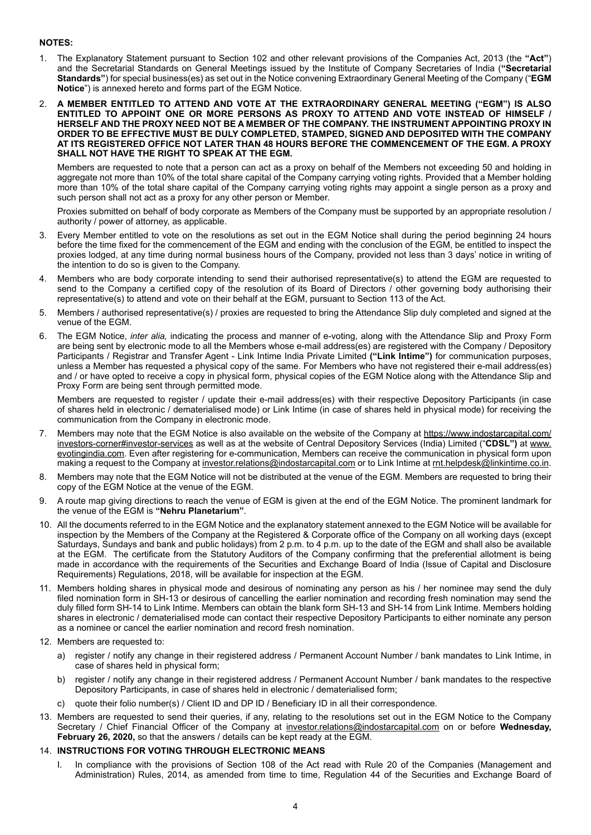# **NOTES:**

- 1. The Explanatory Statement pursuant to Section 102 and other relevant provisions of the Companies Act, 2013 (the **"Act"**) and the Secretarial Standards on General Meetings issued by the Institute of Company Secretaries of India (**"Secretarial Standards"**) for special business(es) as set out in the Notice convening Extraordinary General Meeting of the Company ("**EGM Notice**") is annexed hereto and forms part of the EGM Notice.
- 2. **A MEMBER ENTITLED TO ATTEND AND VOTE AT THE EXTRAORDINARY GENERAL MEETING ("EGM") IS ALSO ENTITLED TO APPOINT ONE OR MORE PERSONS AS PROXY TO ATTEND AND VOTE INSTEAD OF HIMSELF / HERSELF AND THE PROXY NEED NOT BE A MEMBER OF THE COMPANY. THE INSTRUMENT APPOINTING PROXY IN ORDER TO BE EFFECTIVE MUST BE DULY COMPLETED, STAMPED, SIGNED AND DEPOSITED WITH THE COMPANY AT ITS REGISTERED OFFICE NOT LATER THAN 48 HOURS BEFORE THE COMMENCEMENT OF THE EGM. A PROXY SHALL NOT HAVE THE RIGHT TO SPEAK AT THE EGM.**

Members are requested to note that a person can act as a proxy on behalf of the Members not exceeding 50 and holding in aggregate not more than 10% of the total share capital of the Company carrying voting rights. Provided that a Member holding more than 10% of the total share capital of the Company carrying voting rights may appoint a single person as a proxy and such person shall not act as a proxy for any other person or Member.

Proxies submitted on behalf of body corporate as Members of the Company must be supported by an appropriate resolution / authority / power of attorney, as applicable.

- 3. Every Member entitled to vote on the resolutions as set out in the EGM Notice shall during the period beginning 24 hours before the time fixed for the commencement of the EGM and ending with the conclusion of the EGM, be entitled to inspect the proxies lodged, at any time during normal business hours of the Company, provided not less than 3 days' notice in writing of the intention to do so is given to the Company.
- 4. Members who are body corporate intending to send their authorised representative(s) to attend the EGM are requested to send to the Company a certified copy of the resolution of its Board of Directors / other governing body authorising their representative(s) to attend and vote on their behalf at the EGM, pursuant to Section 113 of the Act.
- 5. Members / authorised representative(s) / proxies are requested to bring the Attendance Slip duly completed and signed at the venue of the EGM.
- 6. The EGM Notice, *inter alia,* indicating the process and manner of e-voting, along with the Attendance Slip and Proxy Form are being sent by electronic mode to all the Members whose e-mail address(es) are registered with the Company / Depository Participants / Registrar and Transfer Agent - Link Intime India Private Limited **("Link Intime")** for communication purposes, unless a Member has requested a physical copy of the same. For Members who have not registered their e-mail address(es) and / or have opted to receive a copy in physical form, physical copies of the EGM Notice along with the Attendance Slip and Proxy Form are being sent through permitted mode.

Members are requested to register / update their e-mail address(es) with their respective Depository Participants (in case of shares held in electronic / dematerialised mode) or Link Intime (in case of shares held in physical mode) for receiving the communication from the Company in electronic mode.

- 7. Members may note that the EGM Notice is also available on the website of the Company at https://www.indostarcapital.com/ investors-corner#investor-services as well as at the website of Central Depository Services (India) Limited ("**CDSL")** at www. evotingindia.com. Even after registering for e-communication, Members can receive the communication in physical form upon making a request to the Company at investor.relations@indostarcapital.com or to Link Intime at rnt.helpdesk@linkintime.co.in.
- 8. Members may note that the EGM Notice will not be distributed at the venue of the EGM. Members are requested to bring their copy of the EGM Notice at the venue of the EGM.
- 9. A route map giving directions to reach the venue of EGM is given at the end of the EGM Notice. The prominent landmark for the venue of the EGM is **"Nehru Planetarium"**.
- 10. All the documents referred to in the EGM Notice and the explanatory statement annexed to the EGM Notice will be available for inspection by the Members of the Company at the Registered & Corporate office of the Company on all working days (except Saturdays, Sundays and bank and public holidays) from 2 p.m. to 4 p.m. up to the date of the EGM and shall also be available at the EGM. The certificate from the Statutory Auditors of the Company confirming that the preferential allotment is being made in accordance with the requirements of the Securities and Exchange Board of India (Issue of Capital and Disclosure Requirements) Regulations, 2018, will be available for inspection at the EGM.
- 11. Members holding shares in physical mode and desirous of nominating any person as his / her nominee may send the duly filed nomination form in SH-13 or desirous of cancelling the earlier nomination and recording fresh nomination may send the duly filled form SH-14 to Link Intime. Members can obtain the blank form SH-13 and SH-14 from Link Intime. Members holding shares in electronic / dematerialised mode can contact their respective Depository Participants to either nominate any person as a nominee or cancel the earlier nomination and record fresh nomination.
- 12. Members are requested to:
	- a) register / notify any change in their registered address / Permanent Account Number / bank mandates to Link Intime, in case of shares held in physical form;
	- b) register / notify any change in their registered address / Permanent Account Number / bank mandates to the respective Depository Participants, in case of shares held in electronic / dematerialised form;
	- c) quote their folio number(s) / Client ID and DP ID / Beneficiary ID in all their correspondence.
- 13. Members are requested to send their queries, if any, relating to the resolutions set out in the EGM Notice to the Company Secretary / Chief Financial Officer of the Company at investor.relations@indostarcapital.com on or before **Wednesday, February 26, 2020,** so that the answers / details can be kept ready at the EGM.

# 14. **INSTRUCTIONS FOR VOTING THROUGH ELECTRONIC MEANS**

I. In compliance with the provisions of Section 108 of the Act read with Rule 20 of the Companies (Management and Administration) Rules, 2014, as amended from time to time, Regulation 44 of the Securities and Exchange Board of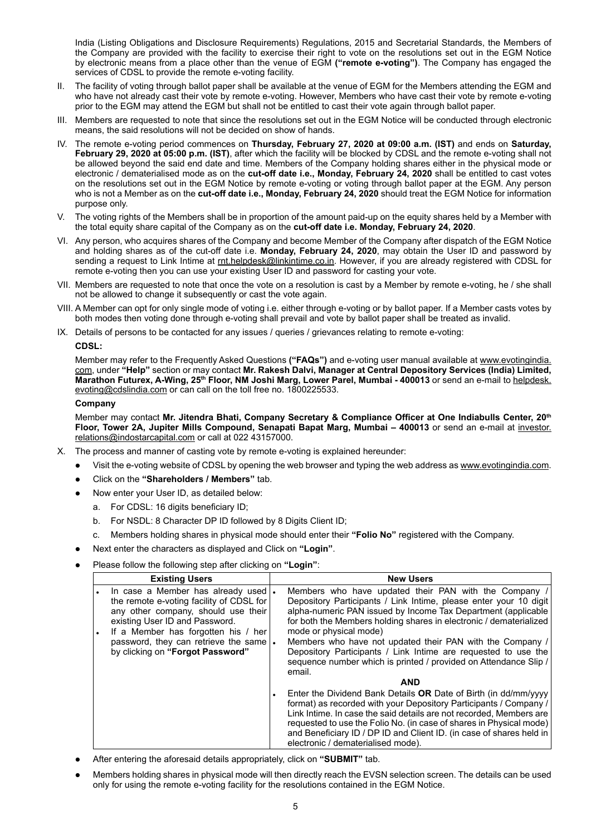India (Listing Obligations and Disclosure Requirements) Regulations, 2015 and Secretarial Standards, the Members of the Company are provided with the facility to exercise their right to vote on the resolutions set out in the EGM Notice by electronic means from a place other than the venue of EGM **("remote e-voting")**. The Company has engaged the services of CDSL to provide the remote e-voting facility.

- II. The facility of voting through ballot paper shall be available at the venue of EGM for the Members attending the EGM and who have not already cast their vote by remote e-voting. However, Members who have cast their vote by remote e-voting prior to the EGM may attend the EGM but shall not be entitled to cast their vote again through ballot paper.
- III. Members are requested to note that since the resolutions set out in the EGM Notice will be conducted through electronic means, the said resolutions will not be decided on show of hands.
- IV. The remote e-voting period commences on **Thursday, February 27, 2020 at 09:00 a.m. (IST)** and ends on **Saturday,**  February 29, 2020 at 05:00 p.m. (IST), after which the facility will be blocked by CDSL and the remote e-voting shall not be allowed beyond the said end date and time. Members of the Company holding shares either in the physical mode or electronic / dematerialised mode as on the **cut-off date i.e., Monday, February 24, 2020** shall be entitled to cast votes on the resolutions set out in the EGM Notice by remote e-voting or voting through ballot paper at the EGM. Any person who is not a Member as on the **cut-off date i.e., Monday, February 24, 2020** should treat the EGM Notice for information purpose only.
- V. The voting rights of the Members shall be in proportion of the amount paid-up on the equity shares held by a Member with the total equity share capital of the Company as on the **cut-off date i.e. Monday, February 24, 2020**.
- VI. Any person, who acquires shares of the Company and become Member of the Company after dispatch of the EGM Notice and holding shares as of the cut-off date i.e. **Monday, February 24, 2020**, may obtain the User ID and password by sending a request to Link Intime at rnt.helpdesk@linkintime.co.in. However, if you are already registered with CDSL for remote e-voting then you can use your existing User ID and password for casting your vote.
- VII. Members are requested to note that once the vote on a resolution is cast by a Member by remote e-voting, he / she shall not be allowed to change it subsequently or cast the vote again.
- VIII. A Member can opt for only single mode of voting i.e. either through e-voting or by ballot paper. If a Member casts votes by both modes then voting done through e-voting shall prevail and vote by ballot paper shall be treated as invalid.
- IX. Details of persons to be contacted for any issues / queries / grievances relating to remote e-voting:

#### **CDSL:**

Member may refer to the Frequently Asked Questions **("FAQs")** and e-voting user manual available at www.evotingindia. com, under **"Help"** section or may contact **Mr. Rakesh Dalvi, Manager at Central Depository Services (India) Limited,**  Marathon Futurex, A-Wing, 25<sup>th</sup> Floor, NM Joshi Marg, Lower Parel, Mumbai - 400013 or send an e-mail to helpdesk. evoting@cdslindia.com or can call on the toll free no. 1800225533.

#### **Company**

Member may contact **Mr. Jitendra Bhati, Company Secretary & Compliance Officer at One Indiabulls Center, 20th Floor, Tower 2A, Jupiter Mills Compound, Senapati Bapat Marg, Mumbai – 400013** or send an e-mail at investor. relations@indostarcapital.com or call at 022 43157000.

- X. The process and manner of casting vote by remote e-voting is explained hereunder:
	- Visit the e-voting website of CDSL by opening the web browser and typing the web address as www.evotingindia.com.
		- Click on the "Shareholders / Members" tab.
	- Now enter your User ID, as detailed below:
		- a. For CDSL: 16 digits beneficiary ID;
		- b. For NSDL: 8 Character DP ID followed by 8 Digits Client ID;
		- c. Members holding shares in physical mode should enter their **"Folio No"** registered with the Company.
	- l Next enter the characters as displayed and Click on **"Login"**.
	- l Please follow the following step after clicking on **"Login"**:

| <b>Existing Users</b> |                                                                                                                                                                                                  |  | <b>New Users</b>                                                                                                                                                                                                                                                                                                                                                                                 |  |  |  |
|-----------------------|--------------------------------------------------------------------------------------------------------------------------------------------------------------------------------------------------|--|--------------------------------------------------------------------------------------------------------------------------------------------------------------------------------------------------------------------------------------------------------------------------------------------------------------------------------------------------------------------------------------------------|--|--|--|
| $\bullet$             | In case a Member has already used  .<br>the remote e-voting facility of CDSL for<br>any other company, should use their<br>existing User ID and Password.<br>If a Member has forgotten his / her |  | Members who have updated their PAN with the Company /<br>Depository Participants / Link Intime, please enter your 10 digit<br>alpha-numeric PAN issued by Income Tax Department (applicable)<br>for both the Members holding shares in electronic / dematerialized<br>mode or physical mode)                                                                                                     |  |  |  |
|                       | password, they can retrieve the same<br>by clicking on "Forgot Password"                                                                                                                         |  | Members who have not updated their PAN with the Company /<br>Depository Participants / Link Intime are requested to use the<br>sequence number which is printed / provided on Attendance Slip /<br>email.                                                                                                                                                                                        |  |  |  |
|                       |                                                                                                                                                                                                  |  | <b>AND</b>                                                                                                                                                                                                                                                                                                                                                                                       |  |  |  |
|                       |                                                                                                                                                                                                  |  | Enter the Dividend Bank Details OR Date of Birth (in dd/mm/yyyy<br>format) as recorded with your Depository Participants / Company /<br>Link Intime. In case the said details are not recorded, Members are<br>requested to use the Folio No. (in case of shares in Physical mode)<br>and Beneficiary ID / DP ID and Client ID. (in case of shares held in<br>electronic / dematerialised mode). |  |  |  |

- l After entering the aforesaid details appropriately, click on **"SUBMIT"** tab.
- l Members holding shares in physical mode will then directly reach the EVSN selection screen. The details can be used only for using the remote e-voting facility for the resolutions contained in the EGM Notice.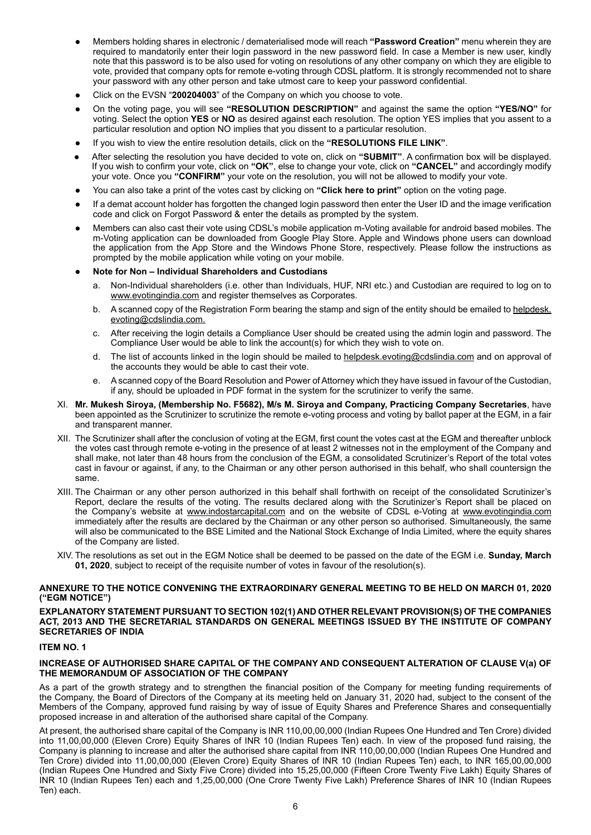- l Members holding shares in electronic / dematerialised mode will reach **"Password Creation"** menu wherein they are required to mandatorily enter their login password in the new password field. In case a Member is new user, kindly note that this password is to be also used for voting on resolutions of any other company on which they are eligible to vote, provided that company opts for remote e-voting through CDSL platform. It is strongly recommended not to share your password with any other person and take utmost care to keep your password confidential.
- l Click on the EVSN "**200204003**" of the Company on which you choose to vote.
- l On the voting page, you will see **"RESOLUTION DESCRIPTION"** and against the same the option **"YES/NO"** for voting. Select the option **YES** or **NO** as desired against each resolution. The option YES implies that you assent to a particular resolution and option NO implies that you dissent to a particular resolution.
- If you wish to view the entire resolution details, click on the "RESOLUTIONS FILE LINK".
- l After selecting the resolution you have decided to vote on, click on **"SUBMIT"**. A confirmation box will be displayed. If you wish to confirm your vote, click on **"OK"**, else to change your vote, click on **"CANCEL"** and accordingly modify your vote. Once you **"CONFIRM"** your vote on the resolution, you will not be allowed to modify your vote.
- l You can also take a print of the votes cast by clicking on **"Click here to print"** option on the voting page.
- If a demat account holder has forgotten the changed login password then enter the User ID and the image verification code and click on Forgot Password & enter the details as prompted by the system.
- l Members can also cast their vote using CDSL's mobile application m-Voting available for android based mobiles. The m-Voting application can be downloaded from Google Play Store. Apple and Windows phone users can download the application from the App Store and the Windows Phone Store, respectively. Please follow the instructions as prompted by the mobile application while voting on your mobile.

#### l **Note for Non – Individual Shareholders and Custodians**

- a. Non-Individual shareholders (i.e. other than Individuals, HUF, NRI etc.) and Custodian are required to log on to www.evotingindia.com and register themselves as Corporates.
- b. A scanned copy of the Registration Form bearing the stamp and sign of the entity should be emailed to helpdesk. evoting@cdslindia.com.
- c. After receiving the login details a Compliance User should be created using the admin login and password. The Compliance User would be able to link the account(s) for which they wish to vote on.
- d. The list of accounts linked in the login should be mailed to helpdesk.evoting@cdslindia.com and on approval of the accounts they would be able to cast their vote.
- e. A scanned copy of the Board Resolution and Power of Attorney which they have issued in favour of the Custodian, if any, should be uploaded in PDF format in the system for the scrutinizer to verify the same.
- XI. **Mr. Mukesh Siroya, (Membership No. F5682), M/s M. Siroya and Company, Practicing Company Secretaries**, have been appointed as the Scrutinizer to scrutinize the remote e-voting process and voting by ballot paper at the EGM, in a fair and transparent manner.
- XII. The Scrutinizer shall after the conclusion of voting at the EGM, first count the votes cast at the EGM and thereafter unblock the votes cast through remote e-voting in the presence of at least 2 witnesses not in the employment of the Company and shall make, not later than 48 hours from the conclusion of the EGM, a consolidated Scrutinizer's Report of the total votes cast in favour or against, if any, to the Chairman or any other person authorised in this behalf, who shall countersign the same.
- XIII. The Chairman or any other person authorized in this behalf shall forthwith on receipt of the consolidated Scrutinizer's Report, declare the results of the voting. The results declared along with the Scrutinizer's Report shall be placed on the Company's website at www.indostarcapital.com and on the website of CDSL e-Voting at www.evotingindia.com immediately after the results are declared by the Chairman or any other person so authorised. Simultaneously, the same will also be communicated to the BSE Limited and the National Stock Exchange of India Limited, where the equity shares of the Company are listed.
- XIV. The resolutions as set out in the EGM Notice shall be deemed to be passed on the date of the EGM i.e. **Sunday, March 01, 2020**, subject to receipt of the requisite number of votes in favour of the resolution(s).

## **ANNEXURE TO THE NOTICE CONVENING THE EXTRAORDINARY GENERAL MEETING TO BE HELD ON MARCH 01, 2020 ("EGM NOTICE")**

#### **EXPLANATORY STATEMENT PURSUANT TO SECTION 102(1) AND OTHER RELEVANT PROVISION(S) OF THE COMPANIES ACT, 2013 AND THE SECRETARIAL STANDARDS ON GENERAL MEETINGS ISSUED BY THE INSTITUTE OF COMPANY SECRETARIES OF INDIA**

# **ITEM NO. 1**

#### **INCREASE OF AUTHORISED SHARE CAPITAL OF THE COMPANY AND CONSEQUENT ALTERATION OF CLAUSE V(a) OF THE MEMORANDUM OF ASSOCIATION OF THE COMPANY**

As a part of the growth strategy and to strengthen the financial position of the Company for meeting funding requirements of the Company, the Board of Directors of the Company at its meeting held on January 31, 2020 had, subject to the consent of the Members of the Company, approved fund raising by way of issue of Equity Shares and Preference Shares and consequentially proposed increase in and alteration of the authorised share capital of the Company.

At present, the authorised share capital of the Company is INR 110,00,00,000 (Indian Rupees One Hundred and Ten Crore) divided into 11,00,00,000 (Eleven Crore) Equity Shares of INR 10 (Indian Rupees Ten) each. In view of the proposed fund raising, the Company is planning to increase and alter the authorised share capital from INR 110,00,00,000 (Indian Rupees One Hundred and Ten Crore) divided into 11,00,00,000 (Eleven Crore) Equity Shares of INR 10 (Indian Rupees Ten) each, to INR 165,00,00,000 (Indian Rupees One Hundred and Sixty Five Crore) divided into 15,25,00,000 (Fifteen Crore Twenty Five Lakh) Equity Shares of INR 10 (Indian Rupees Ten) each and 1,25,00,000 (One Crore Twenty Five Lakh) Preference Shares of INR 10 (Indian Rupees Ten) each.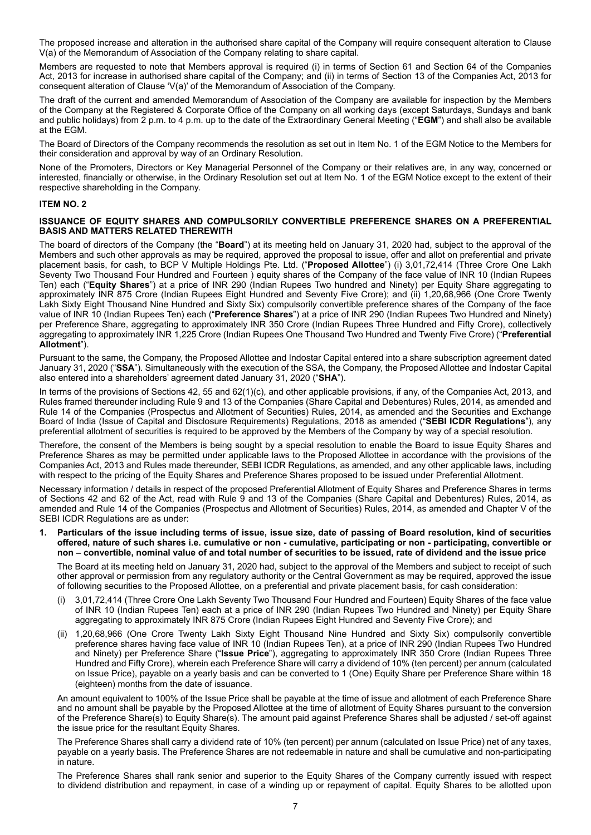The proposed increase and alteration in the authorised share capital of the Company will require consequent alteration to Clause V(a) of the Memorandum of Association of the Company relating to share capital.

Members are requested to note that Members approval is required (i) in terms of Section 61 and Section 64 of the Companies Act, 2013 for increase in authorised share capital of the Company; and (ii) in terms of Section 13 of the Companies Act, 2013 for consequent alteration of Clause 'V(a)' of the Memorandum of Association of the Company.

The draft of the current and amended Memorandum of Association of the Company are available for inspection by the Members of the Company at the Registered & Corporate Office of the Company on all working days (except Saturdays, Sundays and bank and public holidays) from 2 p.m. to 4 p.m. up to the date of the Extraordinary General Meeting ("**EGM**") and shall also be available at the EGM.

The Board of Directors of the Company recommends the resolution as set out in Item No. 1 of the EGM Notice to the Members for their consideration and approval by way of an Ordinary Resolution.

None of the Promoters, Directors or Key Managerial Personnel of the Company or their relatives are, in any way, concerned or interested, financially or otherwise, in the Ordinary Resolution set out at Item No. 1 of the EGM Notice except to the extent of their respective shareholding in the Company.

## **ITEM No. 2**

### **ISSUANCE OF EQUITY SHARES AND COMPULSORILY CONVERTIBLE PREFERENCE SHARES ON A PREFERENTIAL BASIS AND MATTERS RELATED THEREWITH**

The board of directors of the Company (the "**Board**") at its meeting held on January 31, 2020 had, subject to the approval of the Members and such other approvals as may be required, approved the proposal to issue, offer and allot on preferential and private placement basis, for cash, to BCP V Multiple Holdings Pte. Ltd. ("**Proposed Allottee**") (i) 3,01,72,414 (Three Crore One Lakh Seventy Two Thousand Four Hundred and Fourteen ) equity shares of the Company of the face value of INR 10 (Indian Rupees Ten) each ("**Equity Shares**") at a price of INR 290 (Indian Rupees Two hundred and Ninety) per Equity Share aggregating to approximately INR 875 Crore (Indian Rupees Eight Hundred and Seventy Five Crore); and (ii) 1,20,68,966 (One Crore Twenty Lakh Sixty Eight Thousand Nine Hundred and Sixty Six) compulsorily convertible preference shares of the Company of the face value of INR 10 (Indian Rupees Ten) each ("**Preference Shares**") at a price of INR 290 (Indian Rupees Two Hundred and Ninety) per Preference Share, aggregating to approximately INR 350 Crore (Indian Rupees Three Hundred and Fifty Crore), collectively aggregating to approximately INR 1,225 Crore (Indian Rupees One Thousand Two Hundred and Twenty Five Crore) ("**Preferential Allotment**").

Pursuant to the same, the Company, the Proposed Allottee and Indostar Capital entered into a share subscription agreement dated January 31, 2020 ("**SSA**"). Simultaneously with the execution of the SSA, the Company, the Proposed Allottee and Indostar Capital also entered into a shareholders' agreement dated January 31, 2020 ("**SHA**").

In terms of the provisions of Sections 42, 55 and 62(1)(c), and other applicable provisions, if any, of the Companies Act, 2013, and Rules framed thereunder including Rule 9 and 13 of the Companies (Share Capital and Debentures) Rules, 2014, as amended and Rule 14 of the Companies (Prospectus and Allotment of Securities) Rules, 2014, as amended and the Securities and Exchange Board of India (Issue of Capital and Disclosure Requirements) Regulations, 2018 as amended ("**SEBI ICDR Regulations**"), any preferential allotment of securities is required to be approved by the Members of the Company by way of a special resolution.

Therefore, the consent of the Members is being sought by a special resolution to enable the Board to issue Equity Shares and Preference Shares as may be permitted under applicable laws to the Proposed Allottee in accordance with the provisions of the Companies Act, 2013 and Rules made thereunder, SEBI ICDR Regulations, as amended, and any other applicable laws, including with respect to the pricing of the Equity Shares and Preference Shares proposed to be issued under Preferential Allotment.

Necessary information / details in respect of the proposed Preferential Allotment of Equity Shares and Preference Shares in terms of Sections 42 and 62 of the Act, read with Rule 9 and 13 of the Companies (Share Capital and Debentures) Rules, 2014, as amended and Rule 14 of the Companies (Prospectus and Allotment of Securities) Rules, 2014, as amended and Chapter V of the SEBI ICDR Regulations are as under:

**1. Particulars of the issue including terms of issue, issue size, date of passing of Board resolution, kind of securities offered, nature of such shares i.e. cumulative or non - cumulative, participating or non - participating, convertible or non – convertible, nominal value of and total number of securities to be issued, rate of dividend and the issue price**

The Board at its meeting held on January 31, 2020 had, subject to the approval of the Members and subject to receipt of such other approval or permission from any regulatory authority or the Central Government as may be required, approved the issue of following securities to the Proposed Allottee, on a preferential and private placement basis, for cash consideration:

- (i) 3,01,72,414 (Three Crore One Lakh Seventy Two Thousand Four Hundred and Fourteen) Equity Shares of the face value of INR 10 (Indian Rupees Ten) each at a price of INR 290 (Indian Rupees Two Hundred and Ninety) per Equity Share aggregating to approximately INR 875 Crore (Indian Rupees Eight Hundred and Seventy Five Crore); and
- (ii) 1,20,68,966 (One Crore Twenty Lakh Sixty Eight Thousand Nine Hundred and Sixty Six) compulsorily convertible preference shares having face value of INR 10 (Indian Rupees Ten), at a price of INR 290 (Indian Rupees Two Hundred and Ninety) per Preference Share ("**Issue Price**"), aggregating to approximately INR 350 Crore (Indian Rupees Three Hundred and Fifty Crore), wherein each Preference Share will carry a dividend of 10% (ten percent) per annum (calculated on Issue Price), payable on a yearly basis and can be converted to 1 (One) Equity Share per Preference Share within 18 (eighteen) months from the date of issuance.

An amount equivalent to 100% of the Issue Price shall be payable at the time of issue and allotment of each Preference Share and no amount shall be payable by the Proposed Allottee at the time of allotment of Equity Shares pursuant to the conversion of the Preference Share(s) to Equity Share(s). The amount paid against Preference Shares shall be adjusted / set-off against the issue price for the resultant Equity Shares.

The Preference Shares shall carry a dividend rate of 10% (ten percent) per annum (calculated on Issue Price) net of any taxes, payable on a yearly basis. The Preference Shares are not redeemable in nature and shall be cumulative and non-participating in nature.

The Preference Shares shall rank senior and superior to the Equity Shares of the Company currently issued with respect to dividend distribution and repayment, in case of a winding up or repayment of capital. Equity Shares to be allotted upon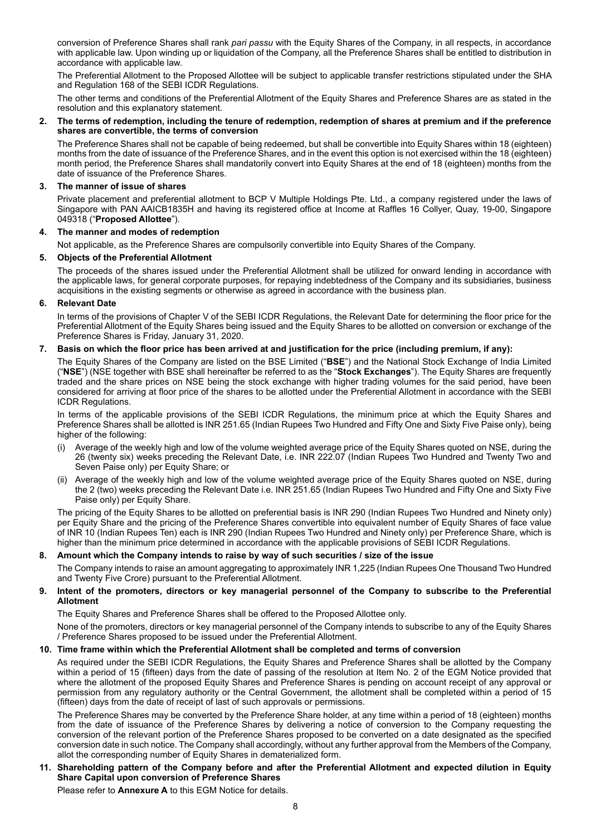conversion of Preference Shares shall rank *pari passu* with the Equity Shares of the Company, in all respects, in accordance with applicable law. Upon winding up or liquidation of the Company, all the Preference Shares shall be entitled to distribution in accordance with applicable law.

The Preferential Allotment to the Proposed Allottee will be subject to applicable transfer restrictions stipulated under the SHA and Regulation 168 of the SEBI ICDR Regulations.

The other terms and conditions of the Preferential Allotment of the Equity Shares and Preference Shares are as stated in the resolution and this explanatory statement.

#### **2. The terms of redemption, including the tenure of redemption, redemption of shares at premium and if the preference shares are convertible, the terms of conversion**

The Preference Shares shall not be capable of being redeemed, but shall be convertible into Equity Shares within 18 (eighteen) months from the date of issuance of the Preference Shares, and in the event this option is not exercised within the 18 (eighteen) month period, the Preference Shares shall mandatorily convert into Equity Shares at the end of 18 (eighteen) months from the date of issuance of the Preference Shares.

# **3. The manner of issue of shares**

Private placement and preferential allotment to BCP V Multiple Holdings Pte. Ltd., a company registered under the laws of Singapore with PAN AAICB1835H and having its registered office at Income at Raffles 16 Collyer, Quay, 19-00, Singapore 049318 ("**Proposed Allottee**").

## **4. The manner and modes of redemption**

Not applicable, as the Preference Shares are compulsorily convertible into Equity Shares of the Company.

## **5. Objects of the Preferential Allotment**

The proceeds of the shares issued under the Preferential Allotment shall be utilized for onward lending in accordance with the applicable laws, for general corporate purposes, for repaying indebtedness of the Company and its subsidiaries, business acquisitions in the existing segments or otherwise as agreed in accordance with the business plan.

## **6. Relevant Date**

In terms of the provisions of Chapter V of the SEBI ICDR Regulations, the Relevant Date for determining the floor price for the Preferential Allotment of the Equity Shares being issued and the Equity Shares to be allotted on conversion or exchange of the Preference Shares is Friday, January 31, 2020.

## **7. Basis on which the floor price has been arrived at and justification for the price (including premium, if any):**

The Equity Shares of the Company are listed on the BSE Limited ("**BSE**") and the National Stock Exchange of India Limited ("**NSE**") (NSE together with BSE shall hereinafter be referred to as the "**Stock Exchanges**"). The Equity Shares are frequently traded and the share prices on NSE being the stock exchange with higher trading volumes for the said period, have been considered for arriving at floor price of the shares to be allotted under the Preferential Allotment in accordance with the SEBI ICDR Regulations.

In terms of the applicable provisions of the SEBI ICDR Regulations, the minimum price at which the Equity Shares and Preference Shares shall be allotted is INR 251.65 (Indian Rupees Two Hundred and Fifty One and Sixty Five Paise only), being higher of the following:

- Average of the weekly high and low of the volume weighted average price of the Equity Shares quoted on NSE, during the 26 (twenty six) weeks preceding the Relevant Date, i.e. INR 222.07 (Indian Rupees Two Hundred and Twenty Two and Seven Paise only) per Equity Share; or
- (ii) Average of the weekly high and low of the volume weighted average price of the Equity Shares quoted on NSE, during the 2 (two) weeks preceding the Relevant Date i.e. INR 251.65 (Indian Rupees Two Hundred and Fifty One and Sixty Five Paise only) per Equity Share.

The pricing of the Equity Shares to be allotted on preferential basis is INR 290 (Indian Rupees Two Hundred and Ninety only) per Equity Share and the pricing of the Preference Shares convertible into equivalent number of Equity Shares of face value of INR 10 (Indian Rupees Ten) each is INR 290 (Indian Rupees Two Hundred and Ninety only) per Preference Share, which is higher than the minimum price determined in accordance with the applicable provisions of SEBI ICDR Regulations.

# **8. Amount which the Company intends to raise by way of such securities / size of the issue**

The Company intends to raise an amount aggregating to approximately INR 1,225 (Indian Rupees One Thousand Two Hundred and Twenty Five Crore) pursuant to the Preferential Allotment.

## **9. Intent of the promoters, directors or key managerial personnel of the Company to subscribe to the Preferential Allotment**

The Equity Shares and Preference Shares shall be offered to the Proposed Allottee only.

None of the promoters, directors or key managerial personnel of the Company intends to subscribe to any of the Equity Shares / Preference Shares proposed to be issued under the Preferential Allotment.

# **10. Time frame within which the Preferential Allotment shall be completed and terms of conversion**

As required under the SEBI ICDR Regulations, the Equity Shares and Preference Shares shall be allotted by the Company within a period of 15 (fifteen) days from the date of passing of the resolution at Item No. 2 of the EGM Notice provided that where the allotment of the proposed Equity Shares and Preference Shares is pending on account receipt of any approval or permission from any regulatory authority or the Central Government, the allotment shall be completed within a period of 15 (fifteen) days from the date of receipt of last of such approvals or permissions.

The Preference Shares may be converted by the Preference Share holder, at any time within a period of 18 (eighteen) months from the date of issuance of the Preference Shares by delivering a notice of conversion to the Company requesting the conversion of the relevant portion of the Preference Shares proposed to be converted on a date designated as the specified conversion date in such notice. The Company shall accordingly, without any further approval from the Members of the Company, allot the corresponding number of Equity Shares in dematerialized form.

## **11. Shareholding pattern of the Company before and after the Preferential Allotment and expected dilution in Equity Share Capital upon conversion of Preference Shares**

Please refer to **Annexure A** to this EGM Notice for details.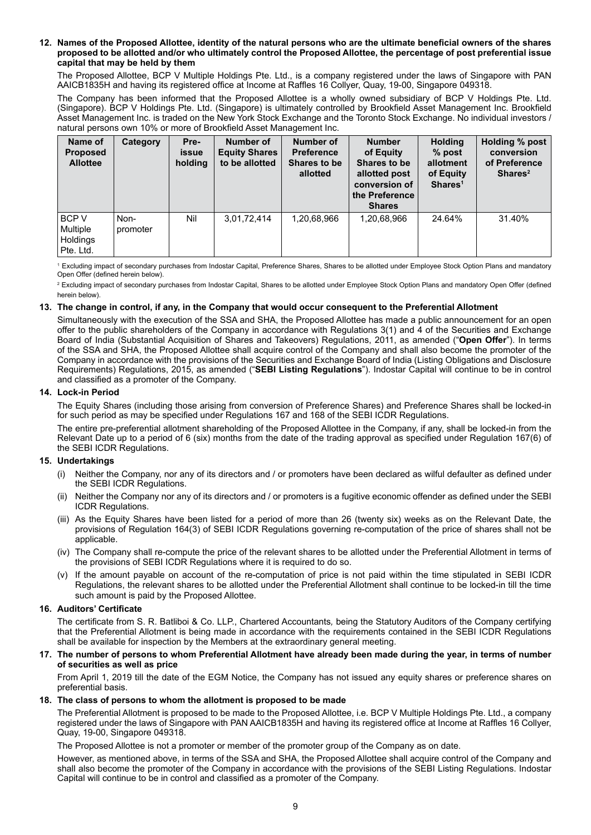#### **12. Names of the Proposed Allottee, identity of the natural persons who are the ultimate beneficial owners of the shares proposed to be allotted and/or who ultimately control the Proposed Allottee, the percentage of post preferential issue capital that may be held by them**

The Proposed Allottee, BCP V Multiple Holdings Pte. Ltd., is a company registered under the laws of Singapore with PAN AAICB1835H and having its registered office at Income at Raffles 16 Collyer, Quay, 19-00, Singapore 049318.

The Company has been informed that the Proposed Allottee is a wholly owned subsidiary of BCP V Holdings Pte. Ltd. (Singapore). BCP V Holdings Pte. Ltd. (Singapore) is ultimately controlled by Brookfield Asset Management Inc. Brookfield Asset Management Inc. is traded on the New York Stock Exchange and the Toronto Stock Exchange. No individual investors / natural persons own 10% or more of Brookfield Asset Management Inc.

| Name of<br><b>Proposed</b><br><b>Allottee</b> | Category         | Pre-<br>issue<br>holding | Number of<br><b>Equity Shares</b><br>to be allotted | Number of<br><b>Preference</b><br>Shares to be<br>allotted | <b>Number</b><br>of Equity<br>Shares to be<br>allotted post<br>conversion of<br>the Preference<br><b>Shares</b> | <b>Holding</b><br>$%$ post<br>allotment<br>of Equity<br>Shares <sup>1</sup> | Holding % post<br>conversion<br>of Preference<br>Shares <sup>2</sup> |
|-----------------------------------------------|------------------|--------------------------|-----------------------------------------------------|------------------------------------------------------------|-----------------------------------------------------------------------------------------------------------------|-----------------------------------------------------------------------------|----------------------------------------------------------------------|
| BCP V<br>Multiple<br>Holdings<br>Pte. Ltd.    | Non-<br>promoter | Nil                      | 3,01,72,414                                         | 1,20,68,966                                                | 1,20,68,966                                                                                                     | 24.64%                                                                      | 31.40%                                                               |

<sup>1</sup>Excluding impact of secondary purchases from Indostar Capital, Preference Shares, Shares to be allotted under Employee Stock Option Plans and mandatory Open Offer (defined herein below).

2 Excluding impact of secondary purchases from Indostar Capital, Shares to be allotted under Employee Stock Option Plans and mandatory Open Offer (defined herein below).

# **13. The change in control, if any, in the Company that would occur consequent to the Preferential Allotment**

Simultaneously with the execution of the SSA and SHA, the Proposed Allottee has made a public announcement for an open offer to the public shareholders of the Company in accordance with Regulations 3(1) and 4 of the Securities and Exchange Board of India (Substantial Acquisition of Shares and Takeovers) Regulations, 2011, as amended ("**Open Offer**"). In terms of the SSA and SHA, the Proposed Allottee shall acquire control of the Company and shall also become the promoter of the Company in accordance with the provisions of the Securities and Exchange Board of India (Listing Obligations and Disclosure Requirements) Regulations, 2015, as amended ("**SEBI Listing Regulations**"). Indostar Capital will continue to be in control and classified as a promoter of the Company.

## **14. Lock-in Period**

The Equity Shares (including those arising from conversion of Preference Shares) and Preference Shares shall be locked-in for such period as may be specified under Regulations 167 and 168 of the SEBI ICDR Regulations.

The entire pre-preferential allotment shareholding of the Proposed Allottee in the Company, if any, shall be locked-in from the Relevant Date up to a period of 6 (six) months from the date of the trading approval as specified under Regulation 167(6) of the SEBI ICDR Regulations.

# **15. Undertakings**

- (i) Neither the Company, nor any of its directors and / or promoters have been declared as wilful defaulter as defined under the SEBI ICDR Regulations.
- (ii) Neither the Company nor any of its directors and / or promoters is a fugitive economic offender as defined under the SEBI ICDR Regulations.
- (iii) As the Equity Shares have been listed for a period of more than 26 (twenty six) weeks as on the Relevant Date, the provisions of Regulation 164(3) of SEBI ICDR Regulations governing re-computation of the price of shares shall not be applicable.
- (iv) The Company shall re-compute the price of the relevant shares to be allotted under the Preferential Allotment in terms of the provisions of SEBI ICDR Regulations where it is required to do so.
- (v) If the amount payable on account of the re-computation of price is not paid within the time stipulated in SEBI ICDR Regulations, the relevant shares to be allotted under the Preferential Allotment shall continue to be locked-in till the time such amount is paid by the Proposed Allottee.

# **16. Auditors' Certificate**

The certificate from S. R. Batliboi & Co. LLP., Chartered Accountants*,* being the Statutory Auditors of the Company certifying that the Preferential Allotment is being made in accordance with the requirements contained in the SEBI ICDR Regulations shall be available for inspection by the Members at the extraordinary general meeting.

#### **17. The number of persons to whom Preferential Allotment have already been made during the year, in terms of number of securities as well as price**

From April 1, 2019 till the date of the EGM Notice, the Company has not issued any equity shares or preference shares on preferential basis.

# **18. The class of persons to whom the allotment is proposed to be made**

The Preferential Allotment is proposed to be made to the Proposed Allottee, i.e. BCP V Multiple Holdings Pte. Ltd., a company registered under the laws of Singapore with PAN AAICB1835H and having its registered office at Income at Raffles 16 Collyer, Quay, 19-00, Singapore 049318.

The Proposed Allottee is not a promoter or member of the promoter group of the Company as on date.

However, as mentioned above, in terms of the SSA and SHA, the Proposed Allottee shall acquire control of the Company and shall also become the promoter of the Company in accordance with the provisions of the SEBI Listing Regulations. Indostar Capital will continue to be in control and classified as a promoter of the Company.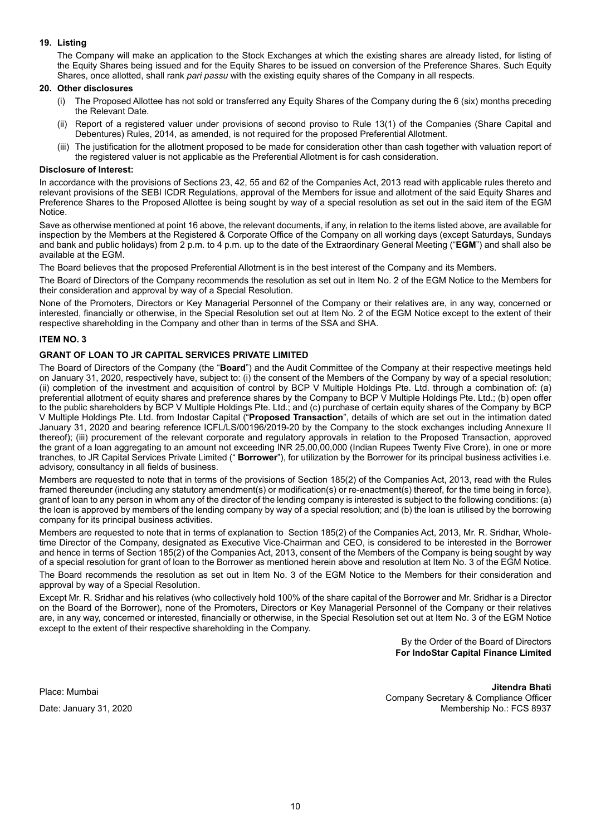# **19. Listing**

The Company will make an application to the Stock Exchanges at which the existing shares are already listed, for listing of the Equity Shares being issued and for the Equity Shares to be issued on conversion of the Preference Shares. Such Equity Shares, once allotted, shall rank *pari passu* with the existing equity shares of the Company in all respects.

### **20. Other disclosures**

- (i) The Proposed Allottee has not sold or transferred any Equity Shares of the Company during the 6 (six) months preceding the Relevant Date.
- (ii) Report of a registered valuer under provisions of second proviso to Rule 13(1) of the Companies (Share Capital and Debentures) Rules, 2014, as amended, is not required for the proposed Preferential Allotment.
- (iii) The justification for the allotment proposed to be made for consideration other than cash together with valuation report of the registered valuer is not applicable as the Preferential Allotment is for cash consideration.

#### **Disclosure of Interest:**

In accordance with the provisions of Sections 23, 42, 55 and 62 of the Companies Act, 2013 read with applicable rules thereto and relevant provisions of the SEBI ICDR Regulations, approval of the Members for issue and allotment of the said Equity Shares and Preference Shares to the Proposed Allottee is being sought by way of a special resolution as set out in the said item of the EGM Notice.

Save as otherwise mentioned at point 16 above, the relevant documents, if any, in relation to the items listed above, are available for inspection by the Members at the Registered & Corporate Office of the Company on all working days (except Saturdays, Sundays and bank and public holidays) from 2 p.m. to 4 p.m. up to the date of the Extraordinary General Meeting ("**EGM**") and shall also be available at the EGM.

The Board believes that the proposed Preferential Allotment is in the best interest of the Company and its Members.

The Board of Directors of the Company recommends the resolution as set out in Item No. 2 of the EGM Notice to the Members for their consideration and approval by way of a Special Resolution.

None of the Promoters, Directors or Key Managerial Personnel of the Company or their relatives are, in any way, concerned or interested, financially or otherwise, in the Special Resolution set out at Item No. 2 of the EGM Notice except to the extent of their respective shareholding in the Company and other than in terms of the SSA and SHA.

## **ITEM NO. 3**

# **GRANT OF LOAN TO JR CAPITAL SERVICES PRIVATE LIMITED**

The Board of Directors of the Company (the "**Board**") and the Audit Committee of the Company at their respective meetings held on January 31, 2020, respectively have, subject to: (i) the consent of the Members of the Company by way of a special resolution; (ii) completion of the investment and acquisition of control by BCP V Multiple Holdings Pte. Ltd. through a combination of: (a) preferential allotment of equity shares and preference shares by the Company to BCP V Multiple Holdings Pte. Ltd.; (b) open offer to the public shareholders by BCP V Multiple Holdings Pte. Ltd.; and (c) purchase of certain equity shares of the Company by BCP V Multiple Holdings Pte. Ltd. from Indostar Capital ("**Proposed Transaction**", details of which are set out in the intimation dated January 31, 2020 and bearing reference ICFL/LS/00196/2019-20 by the Company to the stock exchanges including Annexure II thereof); (iii) procurement of the relevant corporate and regulatory approvals in relation to the Proposed Transaction, approved the grant of a loan aggregating to an amount not exceeding INR 25,00,00,000 (Indian Rupees Twenty Five Crore), in one or more tranches, to JR Capital Services Private Limited (" **Borrower**"), for utilization by the Borrower for its principal business activities i.e. advisory, consultancy in all fields of business.

Members are requested to note that in terms of the provisions of Section 185(2) of the Companies Act, 2013, read with the Rules framed thereunder (including any statutory amendment(s) or modification(s) or re-enactment(s) thereof, for the time being in force), grant of loan to any person in whom any of the director of the lending company is interested is subject to the following conditions: (a) the loan is approved by members of the lending company by way of a special resolution; and (b) the loan is utilised by the borrowing company for its principal business activities.

Members are requested to note that in terms of explanation to Section 185(2) of the Companies Act, 2013, Mr. R. Sridhar, Wholetime Director of the Company, designated as Executive Vice-Chairman and CEO, is considered to be interested in the Borrower and hence in terms of Section 185(2) of the Companies Act, 2013, consent of the Members of the Company is being sought by way of a special resolution for grant of loan to the Borrower as mentioned herein above and resolution at Item No. 3 of the EGM Notice. The Board recommends the resolution as set out in Item No. 3 of the EGM Notice to the Members for their consideration and approval by way of a Special Resolution.

Except Mr. R. Sridhar and his relatives (who collectively hold 100% of the share capital of the Borrower and Mr. Sridhar is a Director on the Board of the Borrower), none of the Promoters, Directors or Key Managerial Personnel of the Company or their relatives are, in any way, concerned or interested, financially or otherwise, in the Special Resolution set out at Item No. 3 of the EGM Notice except to the extent of their respective shareholding in the Company.

> By the Order of the Board of Directors **For IndoStar Capital Finance Limited**

Place: Mumbai

Date: January 31, 2020

**Jitendra Bhati** Company Secretary & Compliance Officer Membership No.: FCS 8937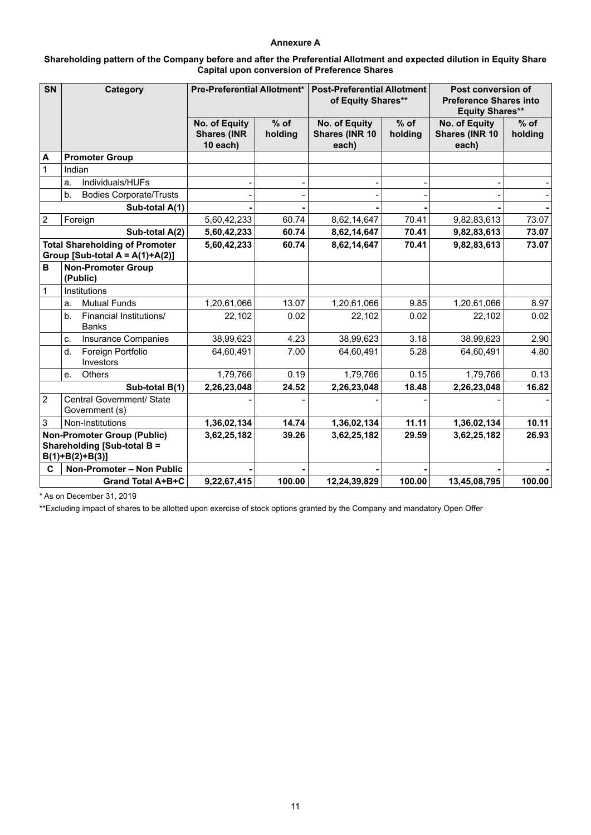# **Annexure A**

| Shareholding pattern of the Company before and after the Preferential Allotment and expected dilution in Equity Share |
|-----------------------------------------------------------------------------------------------------------------------|
| <b>Capital upon conversion of Preference Shares</b>                                                                   |

| <b>SN</b>                                                                              | Category                                                  | <b>Pre-Preferential Allotment*</b>              |                   | <b>Post-Preferential Allotment</b><br>of Equity Shares** |                   | Post conversion of<br><b>Preference Shares into</b><br><b>Equity Shares**</b> |                   |  |
|----------------------------------------------------------------------------------------|-----------------------------------------------------------|-------------------------------------------------|-------------------|----------------------------------------------------------|-------------------|-------------------------------------------------------------------------------|-------------------|--|
|                                                                                        |                                                           | No. of Equity<br><b>Shares (INR</b><br>10 each) | $%$ of<br>holding | No. of Equity<br>Shares (INR 10<br>each)                 | $%$ of<br>holding | No. of Equity<br>Shares (INR 10<br>each)                                      | $%$ of<br>holding |  |
| A                                                                                      | <b>Promoter Group</b>                                     |                                                 |                   |                                                          |                   |                                                                               |                   |  |
| $\mathbf{1}$                                                                           | Indian                                                    |                                                 |                   |                                                          |                   |                                                                               |                   |  |
|                                                                                        | Individuals/HUFs<br>a.                                    |                                                 |                   |                                                          |                   |                                                                               |                   |  |
|                                                                                        | b.<br><b>Bodies Corporate/Trusts</b>                      |                                                 |                   |                                                          |                   |                                                                               |                   |  |
| Sub-total A(1)                                                                         |                                                           |                                                 |                   |                                                          |                   |                                                                               |                   |  |
| $\overline{2}$                                                                         | Foreign                                                   | 5,60,42,233                                     | 60.74             | 8,62,14,647                                              | 70.41             | 9,82,83,613                                                                   | 73.07             |  |
|                                                                                        | Sub-total A(2)                                            | 5,60,42,233                                     | 60.74             | 8,62,14,647                                              | 70.41             | 9,82,83,613                                                                   | 73.07             |  |
| <b>Total Shareholding of Promoter</b><br>Group [Sub-total $A = A(1)+A(2)$ ]            |                                                           | 5,60,42,233                                     | 60.74             | 8,62,14,647                                              | 70.41             | 9,82,83,613                                                                   | 73.07             |  |
| B                                                                                      | <b>Non-Promoter Group</b><br>(Public)                     |                                                 |                   |                                                          |                   |                                                                               |                   |  |
| $\mathbf{1}$                                                                           | Institutions                                              |                                                 |                   |                                                          |                   |                                                                               |                   |  |
|                                                                                        | <b>Mutual Funds</b><br>a.                                 | 1,20,61,066                                     | 13.07             | 1,20,61,066                                              | 9.85              | 1,20,61,066                                                                   | 8.97              |  |
|                                                                                        | Financial Institutions/<br>b <sub>1</sub><br><b>Banks</b> | 22,102                                          | 0.02              | 22,102                                                   | 0.02              | 22,102                                                                        | 0.02              |  |
|                                                                                        | Insurance Companies<br>C.                                 | 38,99,623                                       | 4.23              | 38,99,623                                                | 3.18              | 38,99,623                                                                     | 2.90              |  |
|                                                                                        | Foreign Portfolio<br>d.<br>Investors                      | 64.60.491                                       | 7.00              | 64.60.491                                                | 5.28              | 64,60,491                                                                     | 4.80              |  |
|                                                                                        | Others<br>e.                                              | 1,79,766                                        | 0.19              | 1,79,766                                                 | 0.15              | 1,79,766                                                                      | 0.13              |  |
|                                                                                        | Sub-total B(1)                                            | 2,26,23,048                                     | 24.52             | 2,26,23,048                                              | 18.48             | 2,26,23,048                                                                   | 16.82             |  |
| $\overline{2}$                                                                         | Central Government/ State<br>Government (s)               |                                                 |                   |                                                          |                   |                                                                               |                   |  |
| 3                                                                                      | Non-Institutions                                          | 1,36,02,134                                     | 14.74             | 1,36,02,134                                              | 11.11             | 1,36,02,134                                                                   | 10.11             |  |
| <b>Non-Promoter Group (Public)</b><br>Shareholding [Sub-total B =<br>$B(1)+B(2)+B(3)]$ |                                                           | 3,62,25,182                                     | 39.26             | 3,62,25,182                                              | 29.59             | 3,62,25,182                                                                   | 26.93             |  |
| C                                                                                      | Non-Promoter - Non Public                                 |                                                 |                   |                                                          |                   |                                                                               |                   |  |
| <b>Grand Total A+B+C</b>                                                               |                                                           | 9,22,67,415                                     | 100.00            | 12,24,39,829                                             | 100.00            | 13,45,08,795                                                                  | 100.00            |  |

\* As on December 31, 2019

\*\*Excluding impact of shares to be allotted upon exercise of stock options granted by the Company and mandatory Open Offer